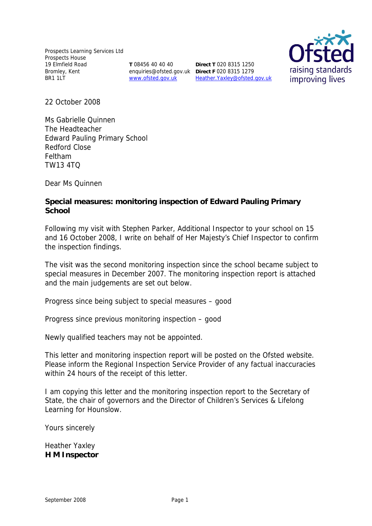Prospects Learning Services Ltd Prospects House 19 Elmfield Road Bromley, Kent BR1 1LT

**T** 08456 40 40 40 enquiries@ofsted.gov.uk **Direct F** 020 8315 1279

www.ofsted.gov.uk Heather.Yaxley@ofsted.gov.uk **Direct T** 020 8315 1250



22 October 2008

Ms Gabrielle Quinnen The Headteacher Edward Pauling Primary School Redford Close Feltham TW13 4TQ

Dear Ms Quinnen

**Special measures: monitoring inspection of Edward Pauling Primary School**

Following my visit with Stephen Parker, Additional Inspector to your school on 15 and 16 October 2008, I write on behalf of Her Majesty's Chief Inspector to confirm the inspection findings.

The visit was the second monitoring inspection since the school became subject to special measures in December 2007. The monitoring inspection report is attached and the main judgements are set out below.

Progress since being subject to special measures – good

Progress since previous monitoring inspection – good

Newly qualified teachers may not be appointed.

This letter and monitoring inspection report will be posted on the Ofsted website. Please inform the Regional Inspection Service Provider of any factual inaccuracies within 24 hours of the receipt of this letter.

I am copying this letter and the monitoring inspection report to the Secretary of State, the chair of governors and the Director of Children's Services & Lifelong Learning for Hounslow.

Yours sincerely

Heather Yaxley **H M Inspector**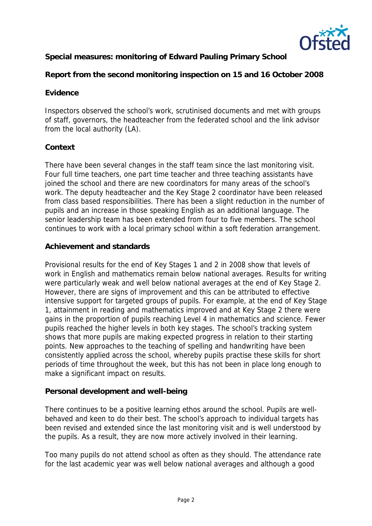

**Special measures: monitoring of Edward Pauling Primary School**

**Report from the second monitoring inspection on 15 and 16 October 2008**

## **Evidence**

Inspectors observed the school's work, scrutinised documents and met with groups of staff, governors, the headteacher from the federated school and the link advisor from the local authority (LA).

# **Context**

There have been several changes in the staff team since the last monitoring visit. Four full time teachers, one part time teacher and three teaching assistants have joined the school and there are new coordinators for many areas of the school's work. The deputy headteacher and the Key Stage 2 coordinator have been released from class based responsibilities. There has been a slight reduction in the number of pupils and an increase in those speaking English as an additional language. The senior leadership team has been extended from four to five members. The school continues to work with a local primary school within a soft federation arrangement.

### **Achievement and standards**

Provisional results for the end of Key Stages 1 and 2 in 2008 show that levels of work in English and mathematics remain below national averages. Results for writing were particularly weak and well below national averages at the end of Key Stage 2. However, there are signs of improvement and this can be attributed to effective intensive support for targeted groups of pupils. For example, at the end of Key Stage 1, attainment in reading and mathematics improved and at Key Stage 2 there were gains in the proportion of pupils reaching Level 4 in mathematics and science. Fewer pupils reached the higher levels in both key stages. The school's tracking system shows that more pupils are making expected progress in relation to their starting points. New approaches to the teaching of spelling and handwriting have been consistently applied across the school, whereby pupils practise these skills for short periods of time throughout the week, but this has not been in place long enough to make a significant impact on results.

# **Personal development and well-being**

There continues to be a positive learning ethos around the school. Pupils are wellbehaved and keen to do their best. The school's approach to individual targets has been revised and extended since the last monitoring visit and is well understood by the pupils. As a result, they are now more actively involved in their learning.

Too many pupils do not attend school as often as they should. The attendance rate for the last academic year was well below national averages and although a good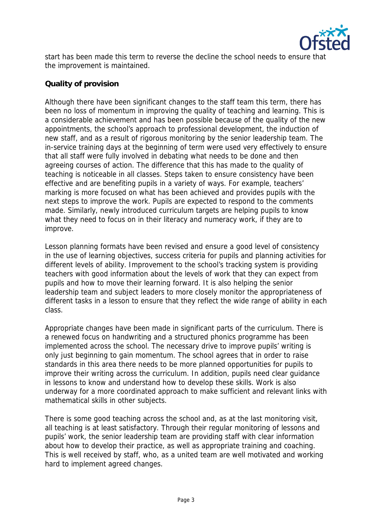

start has been made this term to reverse the decline the school needs to ensure that the improvement is maintained.

## **Quality of provision**

Although there have been significant changes to the staff team this term, there has been no loss of momentum in improving the quality of teaching and learning. This is a considerable achievement and has been possible because of the quality of the new appointments, the school's approach to professional development, the induction of new staff, and as a result of rigorous monitoring by the senior leadership team. The in-service training days at the beginning of term were used very effectively to ensure that all staff were fully involved in debating what needs to be done and then agreeing courses of action. The difference that this has made to the quality of teaching is noticeable in all classes. Steps taken to ensure consistency have been effective and are benefiting pupils in a variety of ways. For example, teachers' marking is more focused on what has been achieved and provides pupils with the next steps to improve the work. Pupils are expected to respond to the comments made. Similarly, newly introduced curriculum targets are helping pupils to know what they need to focus on in their literacy and numeracy work, if they are to improve.

Lesson planning formats have been revised and ensure a good level of consistency in the use of learning objectives, success criteria for pupils and planning activities for different levels of ability. Improvement to the school's tracking system is providing teachers with good information about the levels of work that they can expect from pupils and how to move their learning forward. It is also helping the senior leadership team and subject leaders to more closely monitor the appropriateness of different tasks in a lesson to ensure that they reflect the wide range of ability in each class.

Appropriate changes have been made in significant parts of the curriculum. There is a renewed focus on handwriting and a structured phonics programme has been implemented across the school. The necessary drive to improve pupils' writing is only just beginning to gain momentum. The school agrees that in order to raise standards in this area there needs to be more planned opportunities for pupils to improve their writing across the curriculum. In addition, pupils need clear guidance in lessons to know and understand how to develop these skills. Work is also underway for a more coordinated approach to make sufficient and relevant links with mathematical skills in other subjects.

There is some good teaching across the school and, as at the last monitoring visit, all teaching is at least satisfactory. Through their regular monitoring of lessons and pupils' work, the senior leadership team are providing staff with clear information about how to develop their practice, as well as appropriate training and coaching. This is well received by staff, who, as a united team are well motivated and working hard to implement agreed changes.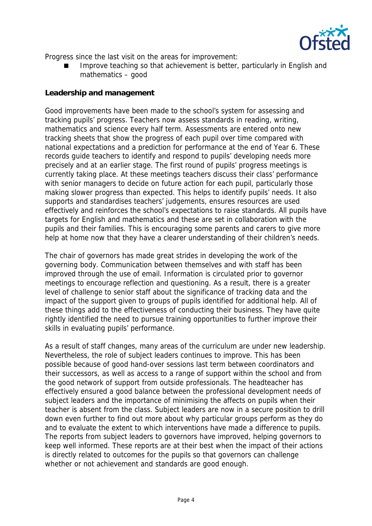

Progress since the last visit on the areas for improvement:

 Improve teaching so that achievement is better, particularly in English and mathematics – good

### **Leadership and management**

Good improvements have been made to the school's system for assessing and tracking pupils' progress. Teachers now assess standards in reading, writing, mathematics and science every half term. Assessments are entered onto new tracking sheets that show the progress of each pupil over time compared with national expectations and a prediction for performance at the end of Year 6. These records guide teachers to identify and respond to pupils' developing needs more precisely and at an earlier stage. The first round of pupils' progress meetings is currently taking place. At these meetings teachers discuss their class' performance with senior managers to decide on future action for each pupil, particularly those making slower progress than expected. This helps to identify pupils' needs. It also supports and standardises teachers' judgements, ensures resources are used effectively and reinforces the school's expectations to raise standards. All pupils have targets for English and mathematics and these are set in collaboration with the pupils and their families. This is encouraging some parents and carers to give more help at home now that they have a clearer understanding of their children's needs.

The chair of governors has made great strides in developing the work of the governing body. Communication between themselves and with staff has been improved through the use of email. Information is circulated prior to governor meetings to encourage reflection and questioning. As a result, there is a greater level of challenge to senior staff about the significance of tracking data and the impact of the support given to groups of pupils identified for additional help. All of these things add to the effectiveness of conducting their business. They have quite rightly identified the need to pursue training opportunities to further improve their skills in evaluating pupils' performance.

As a result of staff changes, many areas of the curriculum are under new leadership. Nevertheless, the role of subject leaders continues to improve. This has been possible because of good hand-over sessions last term between coordinators and their successors, as well as access to a range of support within the school and from the good network of support from outside professionals. The headteacher has effectively ensured a good balance between the professional development needs of subject leaders and the importance of minimising the affects on pupils when their teacher is absent from the class. Subject leaders are now in a secure position to drill down even further to find out more about why particular groups perform as they do and to evaluate the extent to which interventions have made a difference to pupils. The reports from subject leaders to governors have improved, helping governors to keep well informed. These reports are at their best when the impact of their actions is directly related to outcomes for the pupils so that governors can challenge whether or not achievement and standards are good enough.